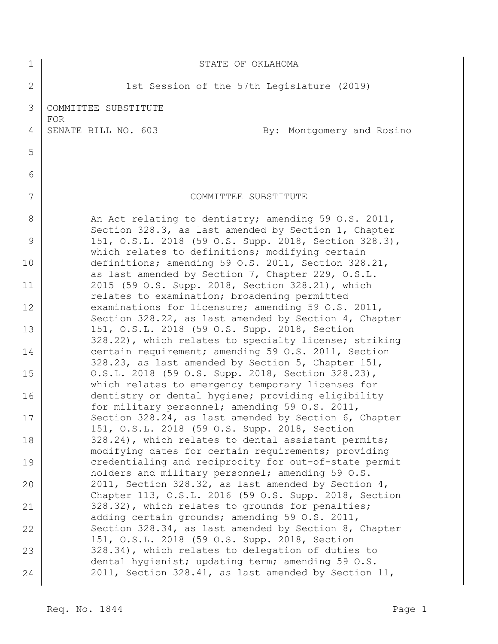| 1              | STATE OF OKLAHOMA                                                                                            |
|----------------|--------------------------------------------------------------------------------------------------------------|
| $\overline{2}$ | 1st Session of the 57th Legislature (2019)                                                                   |
| 3              | COMMITTEE SUBSTITUTE<br>FOR                                                                                  |
| 4              | SENATE BILL NO. 603<br>By: Montgomery and Rosino                                                             |
| 5              |                                                                                                              |
| 6              |                                                                                                              |
| 7              | COMMITTEE SUBSTITUTE                                                                                         |
| 8              | An Act relating to dentistry; amending 59 O.S. 2011,<br>Section 328.3, as last amended by Section 1, Chapter |
| 9              | 151, O.S.L. 2018 (59 O.S. Supp. 2018, Section 328.3),<br>which relates to definitions; modifying certain     |
| 10             | definitions; amending 59 O.S. 2011, Section 328.21,<br>as last amended by Section 7, Chapter 229, O.S.L.     |
| 11             | 2015 (59 O.S. Supp. 2018, Section 328.21), which<br>relates to examination; broadening permitted             |
| 12             | examinations for licensure; amending 59 O.S. 2011,<br>Section 328.22, as last amended by Section 4, Chapter  |
| 13             | 151, O.S.L. 2018 (59 O.S. Supp. 2018, Section<br>328.22), which relates to specialty license; striking       |
| 14             | certain requirement; amending 59 O.S. 2011, Section<br>328.23, as last amended by Section 5, Chapter 151,    |
| 15             | O.S.L. 2018 (59 O.S. Supp. 2018, Section 328.23),<br>which relates to emergency temporary licenses for       |
| 16             | dentistry or dental hygiene; providing eligibility<br>for military personnel; amending 59 O.S. 2011,         |
| 17             | Section 328.24, as last amended by Section 6, Chapter<br>151, O.S.L. 2018 (59 O.S. Supp. 2018, Section       |
| 18             | 328.24), which relates to dental assistant permits;<br>modifying dates for certain requirements; providing   |
| 19             | credentialing and reciprocity for out-of-state permit<br>holders and military personnel; amending 59 O.S.    |
| 20             | 2011, Section 328.32, as last amended by Section 4,<br>Chapter 113, O.S.L. 2016 (59 O.S. Supp. 2018, Section |
| 21             | 328.32), which relates to grounds for penalties;<br>adding certain grounds; amending 59 O.S. 2011,           |
| 22             | Section 328.34, as last amended by Section 8, Chapter<br>151, O.S.L. 2018 (59 O.S. Supp. 2018, Section       |
| 23             | 328.34), which relates to delegation of duties to<br>dental hygienist; updating term; amending 59 O.S.       |
| 24             | 2011, Section 328.41, as last amended by Section 11,                                                         |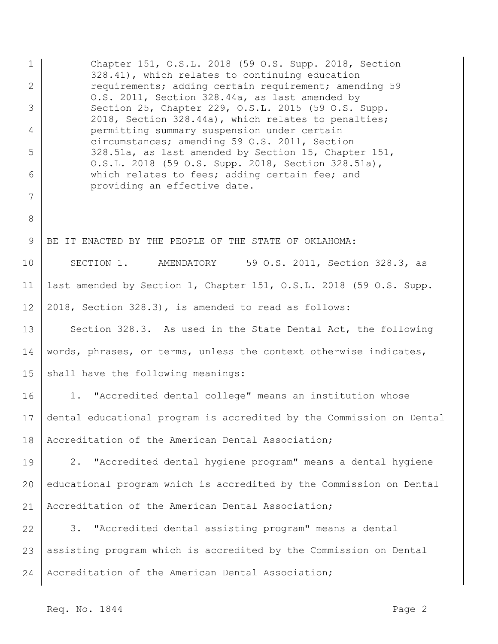1 2 3 4 5 6 7 8 9 10 11 12 13 14 15 16 17 18 19 20 21 22 23 24 Chapter 151, O.S.L. 2018 (59 O.S. Supp. 2018, Section 328.41), which relates to continuing education requirements; adding certain requirement; amending 59 O.S. 2011, Section 328.44a, as last amended by Section 25, Chapter 229, O.S.L. 2015 (59 O.S. Supp. 2018, Section 328.44a), which relates to penalties; permitting summary suspension under certain circumstances; amending 59 O.S. 2011, Section 328.51a, as last amended by Section 15, Chapter 151, O.S.L. 2018 (59 O.S. Supp. 2018, Section 328.51a), which relates to fees; adding certain fee; and providing an effective date. BE IT ENACTED BY THE PEOPLE OF THE STATE OF OKLAHOMA: SECTION 1. AMENDATORY 59 O.S. 2011, Section 328.3, as last amended by Section 1, Chapter 151, O.S.L. 2018 (59 O.S. Supp. 2018, Section 328.3), is amended to read as follows: Section 328.3. As used in the State Dental Act, the following words, phrases, or terms, unless the context otherwise indicates, shall have the following meanings: 1. "Accredited dental college" means an institution whose dental educational program is accredited by the Commission on Dental Accreditation of the American Dental Association; 2. "Accredited dental hygiene program" means a dental hygiene educational program which is accredited by the Commission on Dental Accreditation of the American Dental Association; 3. "Accredited dental assisting program" means a dental assisting program which is accredited by the Commission on Dental Accreditation of the American Dental Association;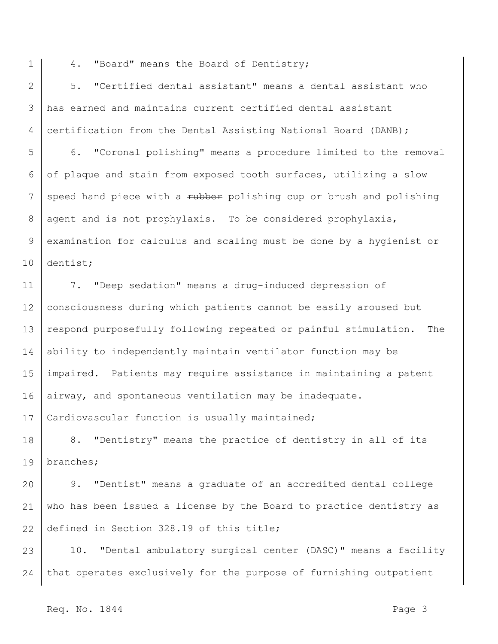- 1
- 4. "Board" means the Board of Dentistry;

2 3 4 5. "Certified dental assistant" means a dental assistant who has earned and maintains current certified dental assistant certification from the Dental Assisting National Board (DANB);

5 6 7 8 9 10 6. "Coronal polishing" means a procedure limited to the removal of plaque and stain from exposed tooth surfaces, utilizing a slow speed hand piece with a rubber polishing cup or brush and polishing agent and is not prophylaxis. To be considered prophylaxis, examination for calculus and scaling must be done by a hygienist or dentist;

11 12 13 14 15 16 17 7. "Deep sedation" means a drug-induced depression of consciousness during which patients cannot be easily aroused but respond purposefully following repeated or painful stimulation. The ability to independently maintain ventilator function may be impaired. Patients may require assistance in maintaining a patent airway, and spontaneous ventilation may be inadequate. Cardiovascular function is usually maintained;

18 19 8. "Dentistry" means the practice of dentistry in all of its branches;

20 21 22 9. "Dentist" means a graduate of an accredited dental college who has been issued a license by the Board to practice dentistry as defined in Section 328.19 of this title;

23 24 10. "Dental ambulatory surgical center (DASC)" means a facility that operates exclusively for the purpose of furnishing outpatient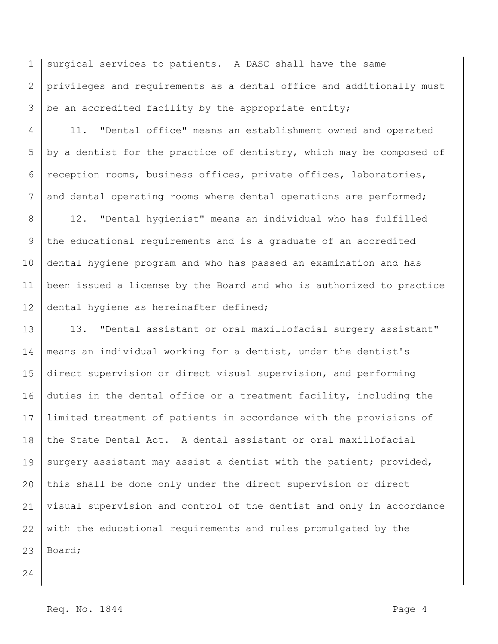1 2 3 surgical services to patients. A DASC shall have the same privileges and requirements as a dental office and additionally must be an accredited facility by the appropriate entity;

4 5 6 7 11. "Dental office" means an establishment owned and operated by a dentist for the practice of dentistry, which may be composed of reception rooms, business offices, private offices, laboratories, and dental operating rooms where dental operations are performed;

8 9 10 11 12 12. "Dental hygienist" means an individual who has fulfilled the educational requirements and is a graduate of an accredited dental hygiene program and who has passed an examination and has been issued a license by the Board and who is authorized to practice dental hygiene as hereinafter defined;

13 14 15 16 17 18 19 20 21 22 23 13. "Dental assistant or oral maxillofacial surgery assistant" means an individual working for a dentist, under the dentist's direct supervision or direct visual supervision, and performing duties in the dental office or a treatment facility, including the limited treatment of patients in accordance with the provisions of the State Dental Act. A dental assistant or oral maxillofacial surgery assistant may assist a dentist with the patient; provided, this shall be done only under the direct supervision or direct visual supervision and control of the dentist and only in accordance with the educational requirements and rules promulgated by the Board;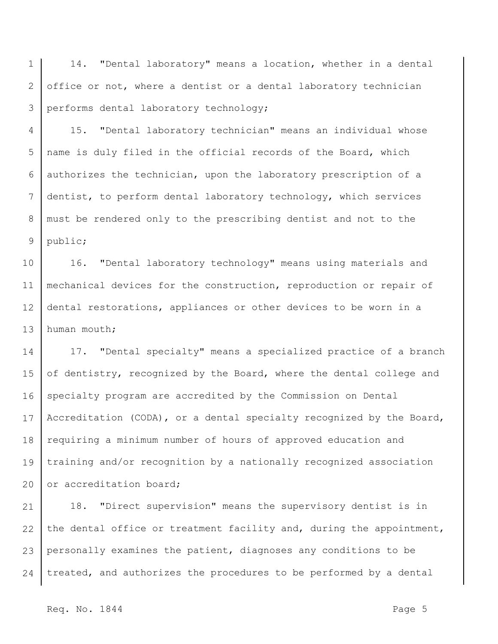1 2 3 14. "Dental laboratory" means a location, whether in a dental office or not, where a dentist or a dental laboratory technician performs dental laboratory technology;

4 5 6 7 8 9 15. "Dental laboratory technician" means an individual whose name is duly filed in the official records of the Board, which authorizes the technician, upon the laboratory prescription of a dentist, to perform dental laboratory technology, which services must be rendered only to the prescribing dentist and not to the public;

10 11 12 13 16. "Dental laboratory technology" means using materials and mechanical devices for the construction, reproduction or repair of dental restorations, appliances or other devices to be worn in a human mouth;

14 15 16 17 18 19 20 17. "Dental specialty" means a specialized practice of a branch of dentistry, recognized by the Board, where the dental college and specialty program are accredited by the Commission on Dental Accreditation (CODA), or a dental specialty recognized by the Board, requiring a minimum number of hours of approved education and training and/or recognition by a nationally recognized association or accreditation board;

21 22 23 24 18. "Direct supervision" means the supervisory dentist is in the dental office or treatment facility and, during the appointment, personally examines the patient, diagnoses any conditions to be treated, and authorizes the procedures to be performed by a dental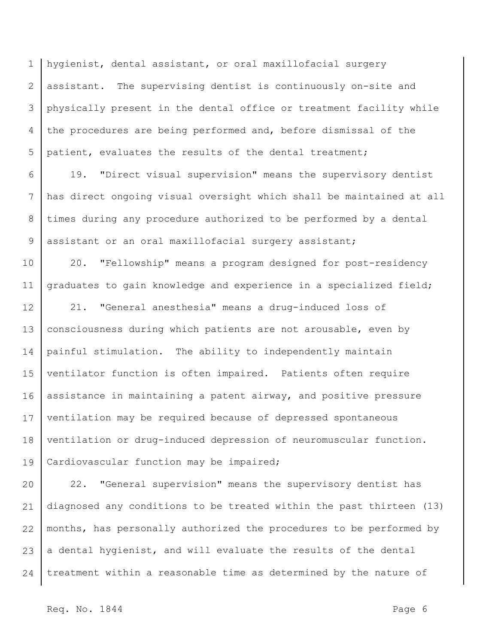1 2 3 4 5 hygienist, dental assistant, or oral maxillofacial surgery assistant. The supervising dentist is continuously on-site and physically present in the dental office or treatment facility while the procedures are being performed and, before dismissal of the patient, evaluates the results of the dental treatment;

6 7 8 9 19. "Direct visual supervision" means the supervisory dentist has direct ongoing visual oversight which shall be maintained at all times during any procedure authorized to be performed by a dental assistant or an oral maxillofacial surgery assistant;

10 11 20. "Fellowship" means a program designed for post-residency graduates to gain knowledge and experience in a specialized field;

12 13 14 15 16 17 18 19 21. "General anesthesia" means a drug-induced loss of consciousness during which patients are not arousable, even by painful stimulation. The ability to independently maintain ventilator function is often impaired. Patients often require assistance in maintaining a patent airway, and positive pressure ventilation may be required because of depressed spontaneous ventilation or drug-induced depression of neuromuscular function. Cardiovascular function may be impaired;

20 21 22 23 24 22. "General supervision" means the supervisory dentist has diagnosed any conditions to be treated within the past thirteen (13) months, has personally authorized the procedures to be performed by a dental hygienist, and will evaluate the results of the dental treatment within a reasonable time as determined by the nature of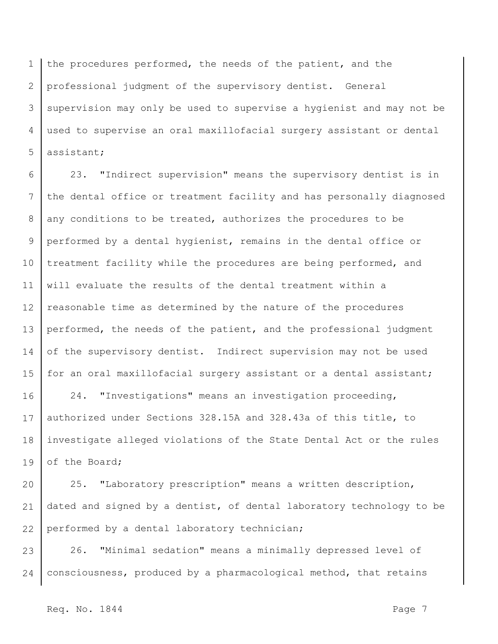1 2 3 4 5 the procedures performed, the needs of the patient, and the professional judgment of the supervisory dentist. General supervision may only be used to supervise a hygienist and may not be used to supervise an oral maxillofacial surgery assistant or dental assistant;

6 7 8 9 10 11 12 13 14 15 23. "Indirect supervision" means the supervisory dentist is in the dental office or treatment facility and has personally diagnosed any conditions to be treated, authorizes the procedures to be performed by a dental hygienist, remains in the dental office or treatment facility while the procedures are being performed, and will evaluate the results of the dental treatment within a reasonable time as determined by the nature of the procedures performed, the needs of the patient, and the professional judgment of the supervisory dentist. Indirect supervision may not be used for an oral maxillofacial surgery assistant or a dental assistant;

16 17 18 19 24. "Investigations" means an investigation proceeding, authorized under Sections 328.15A and 328.43a of this title, to investigate alleged violations of the State Dental Act or the rules of the Board;

20 21 22 25. "Laboratory prescription" means a written description, dated and signed by a dentist, of dental laboratory technology to be performed by a dental laboratory technician;

23 24 26. "Minimal sedation" means a minimally depressed level of consciousness, produced by a pharmacological method, that retains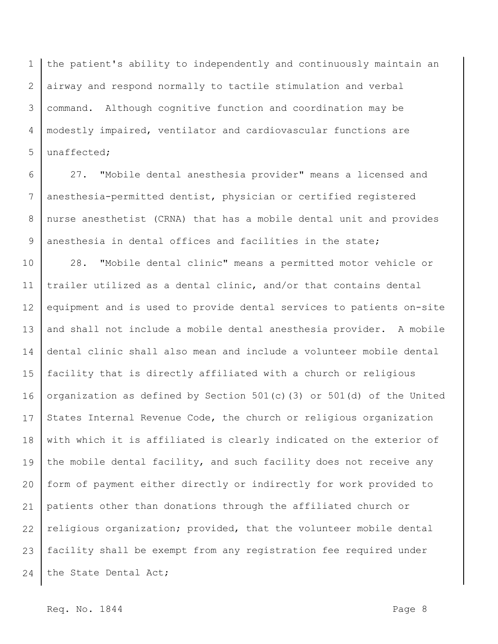1 2 3 4 5 the patient's ability to independently and continuously maintain an airway and respond normally to tactile stimulation and verbal command. Although cognitive function and coordination may be modestly impaired, ventilator and cardiovascular functions are unaffected;

6 7 8 9 27. "Mobile dental anesthesia provider" means a licensed and anesthesia-permitted dentist, physician or certified registered nurse anesthetist (CRNA) that has a mobile dental unit and provides anesthesia in dental offices and facilities in the state;

10 11 12 13 14 15 16 17 18 19 20 21 22 23 24 28. "Mobile dental clinic" means a permitted motor vehicle or trailer utilized as a dental clinic, and/or that contains dental equipment and is used to provide dental services to patients on-site and shall not include a mobile dental anesthesia provider. A mobile dental clinic shall also mean and include a volunteer mobile dental facility that is directly affiliated with a church or religious organization as defined by Section 501(c)(3) or 501(d) of the United States Internal Revenue Code, the church or religious organization with which it is affiliated is clearly indicated on the exterior of the mobile dental facility, and such facility does not receive any form of payment either directly or indirectly for work provided to patients other than donations through the affiliated church or religious organization; provided, that the volunteer mobile dental facility shall be exempt from any registration fee required under the State Dental Act;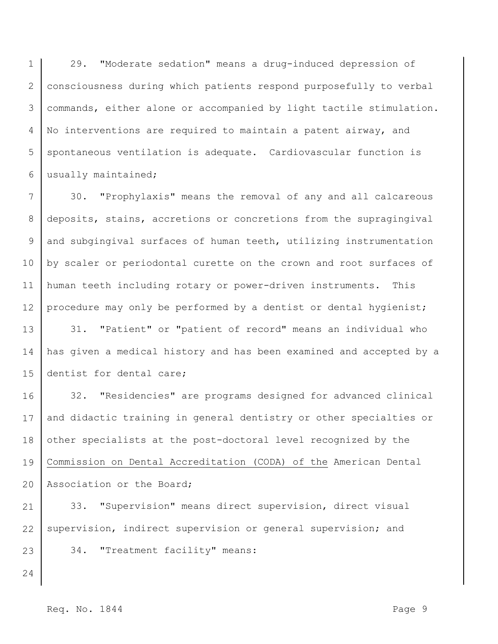1 2 3 4 5 6 29. "Moderate sedation" means a drug-induced depression of consciousness during which patients respond purposefully to verbal commands, either alone or accompanied by light tactile stimulation. No interventions are required to maintain a patent airway, and spontaneous ventilation is adequate. Cardiovascular function is usually maintained;

7 8 9 10 11 12 13 14 15 30. "Prophylaxis" means the removal of any and all calcareous deposits, stains, accretions or concretions from the supragingival and subgingival surfaces of human teeth, utilizing instrumentation by scaler or periodontal curette on the crown and root surfaces of human teeth including rotary or power-driven instruments. This procedure may only be performed by a dentist or dental hygienist; 31. "Patient" or "patient of record" means an individual who has given a medical history and has been examined and accepted by a dentist for dental care;

16 17 18 19 20 32. "Residencies" are programs designed for advanced clinical and didactic training in general dentistry or other specialties or other specialists at the post-doctoral level recognized by the Commission on Dental Accreditation (CODA) of the American Dental Association or the Board;

21 22 23 33. "Supervision" means direct supervision, direct visual supervision, indirect supervision or general supervision; and 34. "Treatment facility" means: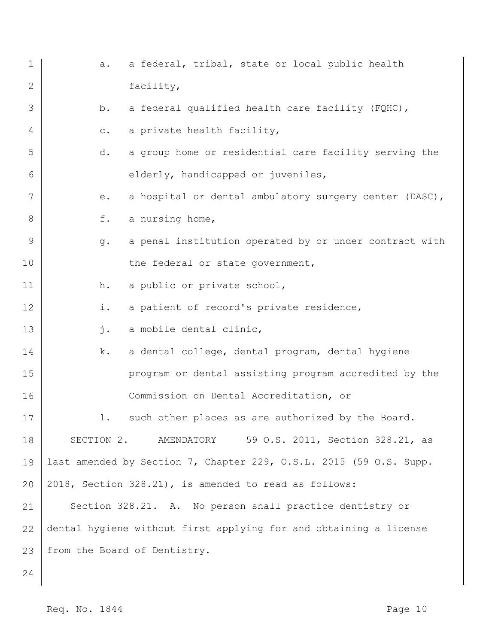| $\mathbf 1$  | a.             | a federal, tribal, state or local public health                    |
|--------------|----------------|--------------------------------------------------------------------|
| $\mathbf{2}$ |                | facility,                                                          |
| 3            | b.             | a federal qualified health care facility (FQHC),                   |
| 4            | $\mathtt{C}$ . | a private health facility,                                         |
| 5            | d.             | a group home or residential care facility serving the              |
| 6            |                | elderly, handicapped or juveniles,                                 |
| 7            | е.             | a hospital or dental ambulatory surgery center (DASC),             |
| 8            | f.             | a nursing home,                                                    |
| 9            | g.             | a penal institution operated by or under contract with             |
| 10           |                | the federal or state government,                                   |
| 11           | h.             | a public or private school,                                        |
| 12           | i.             | a patient of record's private residence,                           |
| 13           | j.             | a mobile dental clinic,                                            |
| 14           | k.             | a dental college, dental program, dental hygiene                   |
| 15           |                | program or dental assisting program accredited by the              |
| 16           |                | Commission on Dental Accreditation, or                             |
| 17           | $\perp$ .      | such other places as are authorized by the Board.                  |
| 18           |                | SECTION 2. AMENDATORY<br>59 O.S. 2011, Section 328.21, as          |
| 19           |                | last amended by Section 7, Chapter 229, O.S.L. 2015 (59 O.S. Supp. |
| 20           |                | 2018, Section 328.21), is amended to read as follows:              |
| 21           |                | Section 328.21. A. No person shall practice dentistry or           |
| 22           |                | dental hygiene without first applying for and obtaining a license  |
| 23           |                | from the Board of Dentistry.                                       |
| 24           |                |                                                                    |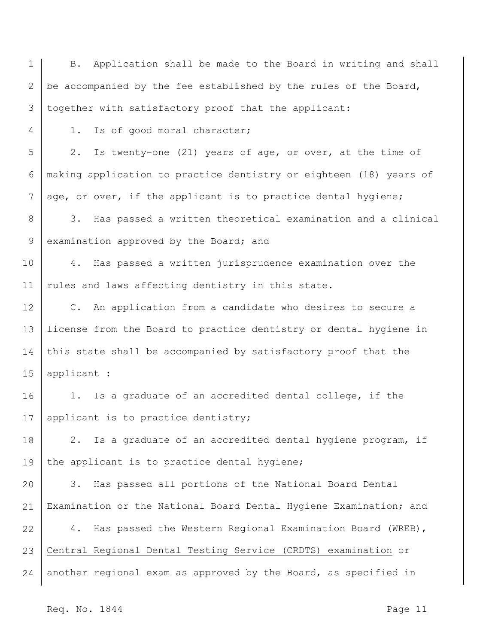1 2 3 4 5 6 7 8 9 10 11 12 13 14 15 16 17 18 19 20 21 22 23 24 B. Application shall be made to the Board in writing and shall be accompanied by the fee established by the rules of the Board, together with satisfactory proof that the applicant: 1. Is of good moral character; 2. Is twenty-one (21) years of age, or over, at the time of making application to practice dentistry or eighteen (18) years of age, or over, if the applicant is to practice dental hygiene; 3. Has passed a written theoretical examination and a clinical examination approved by the Board; and 4. Has passed a written jurisprudence examination over the rules and laws affecting dentistry in this state. C. An application from a candidate who desires to secure a license from the Board to practice dentistry or dental hygiene in this state shall be accompanied by satisfactory proof that the applicant : 1. Is a graduate of an accredited dental college, if the applicant is to practice dentistry; 2. Is a graduate of an accredited dental hygiene program, if the applicant is to practice dental hygiene; 3. Has passed all portions of the National Board Dental Examination or the National Board Dental Hygiene Examination; and 4. Has passed the Western Regional Examination Board (WREB), Central Regional Dental Testing Service (CRDTS) examination or another regional exam as approved by the Board, as specified in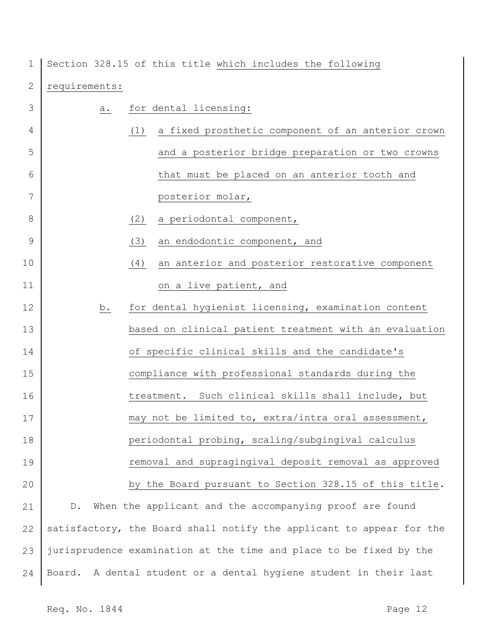1 Section 328.15 of this title which includes the following

| $\mathbf{2}$ | requirements: |                                                                      |
|--------------|---------------|----------------------------------------------------------------------|
| 3            | а.            | for dental licensing:                                                |
| 4            |               | (1)<br>a fixed prosthetic component of an anterior crown             |
| 5            |               | and a posterior bridge preparation or two crowns                     |
| 6            |               | that must be placed on an anterior tooth and                         |
| 7            |               | posterior molar,                                                     |
| 8            |               | a periodontal component,<br>(2)                                      |
| 9            |               | an endodontic component, and<br>(3)                                  |
| 10           |               | an anterior and posterior restorative component<br>(4)               |
| 11           |               | on a live patient, and                                               |
| 12           | <u>b.</u>     | for dental hygienist licensing, examination content                  |
| 13           |               | based on clinical patient treatment with an evaluation               |
| 14           |               | of specific clinical skills and the candidate's                      |
| 15           |               | compliance with professional standards during the                    |
| 16           |               | Such clinical skills shall include, but<br>treatment.                |
| 17           |               | may not be limited to, extra/intra oral assessment,                  |
| 18           |               | periodontal probing, scaling/subgingival calculus                    |
| 19           |               | removal and supragingival deposit removal as approved                |
| 20           |               | by the Board pursuant to Section 328.15 of this title.               |
| 21           | $D$ .         | When the applicant and the accompanying proof are found              |
| 22           |               | satisfactory, the Board shall notify the applicant to appear for the |
| 23           |               | jurisprudence examination at the time and place to be fixed by the   |
| 24           |               | Board. A dental student or a dental hygiene student in their last    |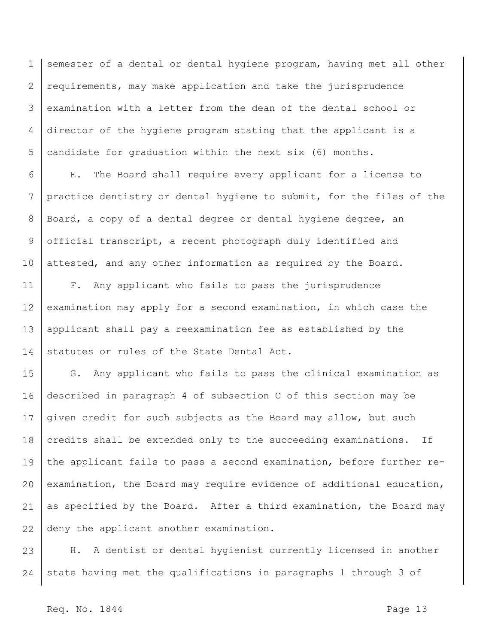1 2 3 4 5 semester of a dental or dental hygiene program, having met all other requirements, may make application and take the jurisprudence examination with a letter from the dean of the dental school or director of the hygiene program stating that the applicant is a candidate for graduation within the next six (6) months.

6 7 8 9 10 E. The Board shall require every applicant for a license to practice dentistry or dental hygiene to submit, for the files of the Board, a copy of a dental degree or dental hygiene degree, an official transcript, a recent photograph duly identified and attested, and any other information as required by the Board.

11 12 13 14 F. Any applicant who fails to pass the jurisprudence examination may apply for a second examination, in which case the applicant shall pay a reexamination fee as established by the statutes or rules of the State Dental Act.

15 16 17 18 19 20 21 22 G. Any applicant who fails to pass the clinical examination as described in paragraph 4 of subsection C of this section may be given credit for such subjects as the Board may allow, but such credits shall be extended only to the succeeding examinations. If the applicant fails to pass a second examination, before further reexamination, the Board may require evidence of additional education, as specified by the Board. After a third examination, the Board may deny the applicant another examination.

23 24 H. A dentist or dental hygienist currently licensed in another state having met the qualifications in paragraphs 1 through 3 of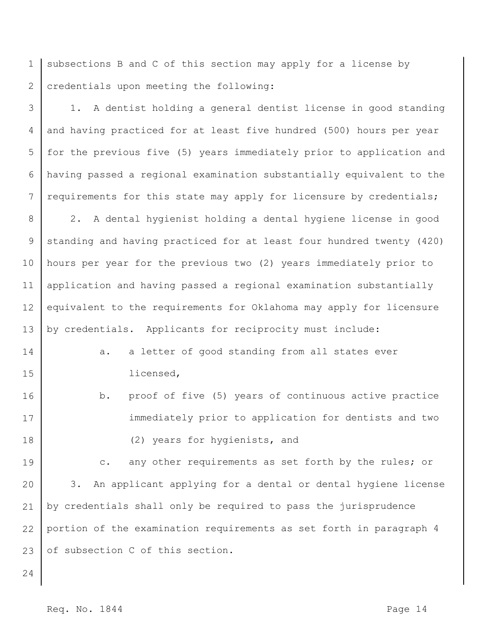1 2 subsections B and C of this section may apply for a license by credentials upon meeting the following:

3 4 5 6 7 1. A dentist holding a general dentist license in good standing and having practiced for at least five hundred (500) hours per year for the previous five (5) years immediately prior to application and having passed a regional examination substantially equivalent to the requirements for this state may apply for licensure by credentials;

8 9 10 11 12 13 2. A dental hygienist holding a dental hygiene license in good standing and having practiced for at least four hundred twenty (420) hours per year for the previous two (2) years immediately prior to application and having passed a regional examination substantially equivalent to the requirements for Oklahoma may apply for licensure by credentials. Applicants for reciprocity must include:

14 15 a. a letter of good standing from all states ever licensed,

16 17 18 b. proof of five (5) years of continuous active practice immediately prior to application for dentists and two (2) years for hygienists, and

19 20 21 22 23 c. any other requirements as set forth by the rules; or 3. An applicant applying for a dental or dental hygiene license by credentials shall only be required to pass the jurisprudence portion of the examination requirements as set forth in paragraph 4 of subsection C of this section.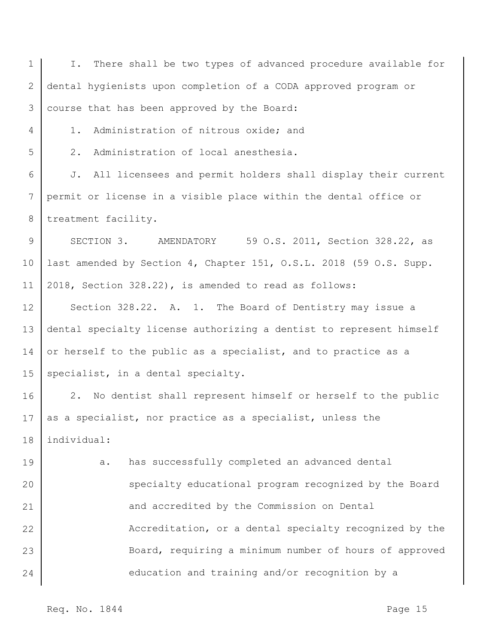1 2 3 4 5 6 7 8 9 10 11 12 13 14 15 16 17 18 19 20 21 22 23 24 I. There shall be two types of advanced procedure available for dental hygienists upon completion of a CODA approved program or course that has been approved by the Board: 1. Administration of nitrous oxide; and 2. Administration of local anesthesia. J. All licensees and permit holders shall display their current permit or license in a visible place within the dental office or treatment facility. SECTION 3. AMENDATORY 59 O.S. 2011, Section 328.22, as last amended by Section 4, Chapter 151, O.S.L. 2018 (59 O.S. Supp. 2018, Section 328.22), is amended to read as follows: Section 328.22. A. 1. The Board of Dentistry may issue a dental specialty license authorizing a dentist to represent himself or herself to the public as a specialist, and to practice as a specialist, in a dental specialty. 2. No dentist shall represent himself or herself to the public as a specialist, nor practice as a specialist, unless the individual: a. has successfully completed an advanced dental specialty educational program recognized by the Board and accredited by the Commission on Dental Accreditation, or a dental specialty recognized by the Board, requiring a minimum number of hours of approved education and training and/or recognition by a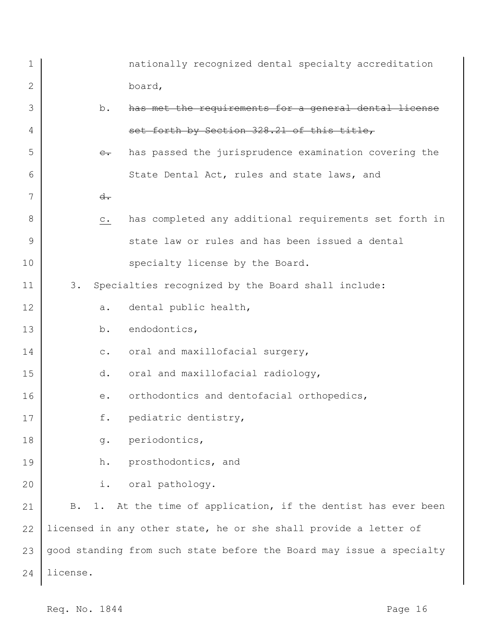| 1            |                | nationally recognized dental specialty accreditation                 |
|--------------|----------------|----------------------------------------------------------------------|
| $\mathbf{2}$ |                | board,                                                               |
| 3            | b.             | has met the requirements for a general dental license                |
| 4            |                | set forth by Section 328.21 of this title,                           |
| 5            | $e_{\bullet}$  | has passed the jurisprudence examination covering the                |
| 6            |                | State Dental Act, rules and state laws, and                          |
| 7            | $d -$          |                                                                      |
| 8            | $\mathtt{C}$ . | has completed any additional requirements set forth in               |
| 9            |                | state law or rules and has been issued a dental                      |
| 10           |                | specialty license by the Board.                                      |
| 11           | 3.             | Specialties recognized by the Board shall include:                   |
| 12           | а.             | dental public health,                                                |
| 13           | b.             | endodontics,                                                         |
| 14           | $\mathtt{C}$ . | oral and maxillofacial surgery,                                      |
| 15           | d.             | oral and maxillofacial radiology,                                    |
| 16           | $e$ .          | orthodontics and dentofacial orthopedics,                            |
| 17           | f.             | pediatric dentistry,                                                 |
| 18           | $g$ .          | periodontics,                                                        |
| 19           | h.             | prosthodontics, and                                                  |
| 20           | i.             | oral pathology.                                                      |
| 21           | B.             | 1. At the time of application, if the dentist has ever been          |
| 22           |                | licensed in any other state, he or she shall provide a letter of     |
| 23           |                | good standing from such state before the Board may issue a specialty |
| 24           | license.       |                                                                      |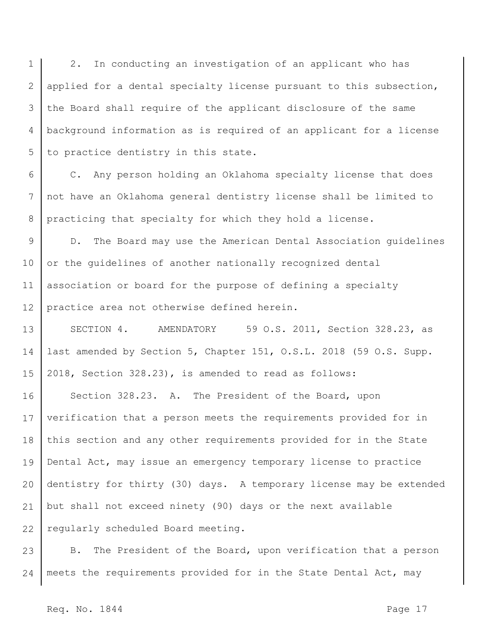1 2 3 4 5 2. In conducting an investigation of an applicant who has applied for a dental specialty license pursuant to this subsection, the Board shall require of the applicant disclosure of the same background information as is required of an applicant for a license to practice dentistry in this state.

6 7 8 C. Any person holding an Oklahoma specialty license that does not have an Oklahoma general dentistry license shall be limited to practicing that specialty for which they hold a license.

9 10 11 12 D. The Board may use the American Dental Association guidelines or the guidelines of another nationally recognized dental association or board for the purpose of defining a specialty practice area not otherwise defined herein.

13 14 15 SECTION 4. AMENDATORY 59 O.S. 2011, Section 328.23, as last amended by Section 5, Chapter 151, O.S.L. 2018 (59 O.S. Supp. 2018, Section 328.23), is amended to read as follows:

16 17 18 19 20 21 22 Section 328.23. A. The President of the Board, upon verification that a person meets the requirements provided for in this section and any other requirements provided for in the State Dental Act, may issue an emergency temporary license to practice dentistry for thirty (30) days. A temporary license may be extended but shall not exceed ninety (90) days or the next available regularly scheduled Board meeting.

23 24 B. The President of the Board, upon verification that a person meets the requirements provided for in the State Dental Act, may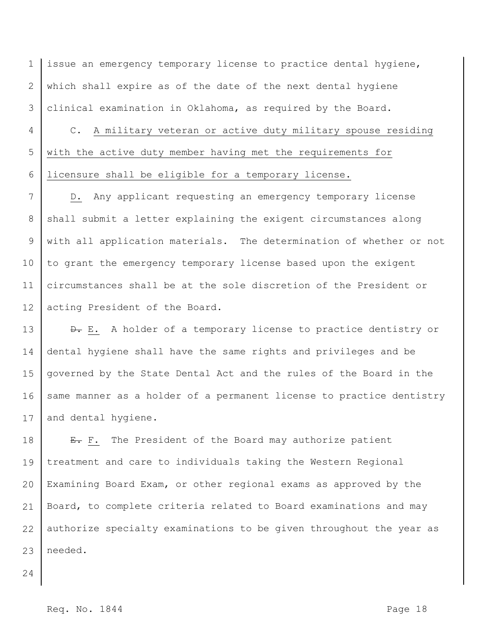1 2 3 issue an emergency temporary license to practice dental hygiene, which shall expire as of the date of the next dental hygiene clinical examination in Oklahoma, as required by the Board.

4 5 6 C. A military veteran or active duty military spouse residing with the active duty member having met the requirements for licensure shall be eligible for a temporary license.

7 8 9 10 11 12 D. Any applicant requesting an emergency temporary license shall submit a letter explaining the exigent circumstances along with all application materials. The determination of whether or not to grant the emergency temporary license based upon the exigent circumstances shall be at the sole discretion of the President or acting President of the Board.

13 14 15 16 17  $\theta$ . E. A holder of a temporary license to practice dentistry or dental hygiene shall have the same rights and privileges and be governed by the State Dental Act and the rules of the Board in the same manner as a holder of a permanent license to practice dentistry and dental hygiene.

18 19 20 21 22 23 E. F. The President of the Board may authorize patient treatment and care to individuals taking the Western Regional Examining Board Exam, or other regional exams as approved by the Board, to complete criteria related to Board examinations and may authorize specialty examinations to be given throughout the year as needed.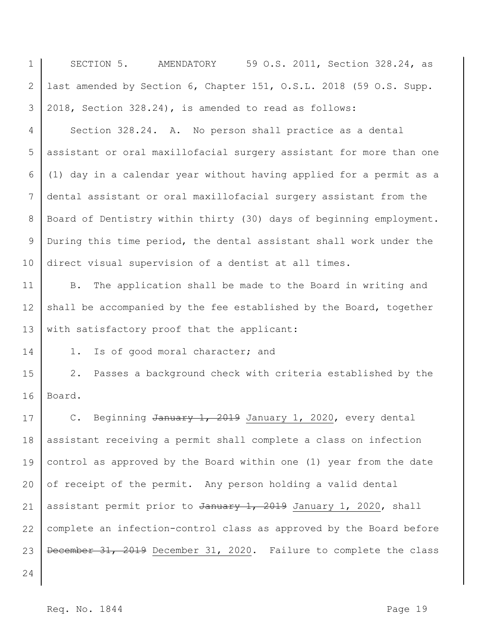1 2 3 4 5 6 7 8 9 10 11 12 13 14 15 16 17 18 19 20 21 22 23 24 SECTION 5. AMENDATORY 59 O.S. 2011, Section 328.24, as last amended by Section 6, Chapter 151, O.S.L. 2018 (59 O.S. Supp. 2018, Section 328.24), is amended to read as follows: Section 328.24. A. No person shall practice as a dental assistant or oral maxillofacial surgery assistant for more than one (1) day in a calendar year without having applied for a permit as a dental assistant or oral maxillofacial surgery assistant from the Board of Dentistry within thirty (30) days of beginning employment. During this time period, the dental assistant shall work under the direct visual supervision of a dentist at all times. B. The application shall be made to the Board in writing and shall be accompanied by the fee established by the Board, together with satisfactory proof that the applicant: 1. Is of good moral character; and 2. Passes a background check with criteria established by the Board. C. Beginning January 1, 2019 January 1, 2020, every dental assistant receiving a permit shall complete a class on infection control as approved by the Board within one (1) year from the date of receipt of the permit. Any person holding a valid dental assistant permit prior to  $\frac{1}{2019}$  January 1, 2020, shall complete an infection-control class as approved by the Board before December 31, 2019 December 31, 2020. Failure to complete the class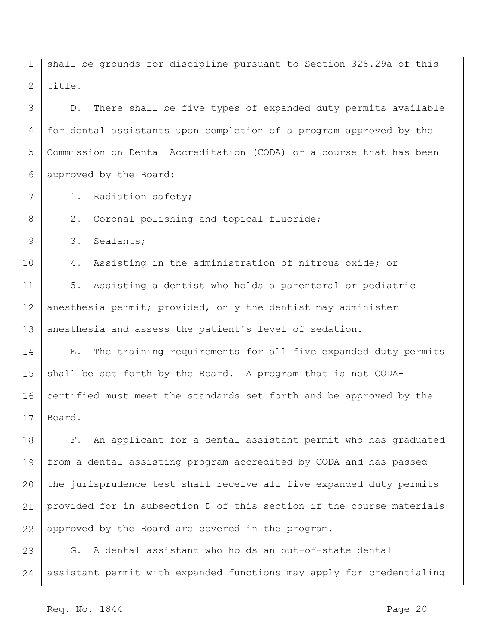1 2 shall be grounds for discipline pursuant to Section 328.29a of this title.

3 4 5 6 D. There shall be five types of expanded duty permits available for dental assistants upon completion of a program approved by the Commission on Dental Accreditation (CODA) or a course that has been approved by the Board:

- 1. Radiation safety;
- 2. Coronal polishing and topical fluoride;

9 3. Sealants;

7

8

10 4. Assisting in the administration of nitrous oxide; or

11 12 13 5. Assisting a dentist who holds a parenteral or pediatric anesthesia permit; provided, only the dentist may administer anesthesia and assess the patient's level of sedation.

14 15 16 17 E. The training requirements for all five expanded duty permits shall be set forth by the Board. A program that is not CODAcertified must meet the standards set forth and be approved by the Board.

18 19 20 21 22 F. An applicant for a dental assistant permit who has graduated from a dental assisting program accredited by CODA and has passed the jurisprudence test shall receive all five expanded duty permits provided for in subsection D of this section if the course materials approved by the Board are covered in the program.

23 24 G. A dental assistant who holds an out-of-state dental assistant permit with expanded functions may apply for credentialing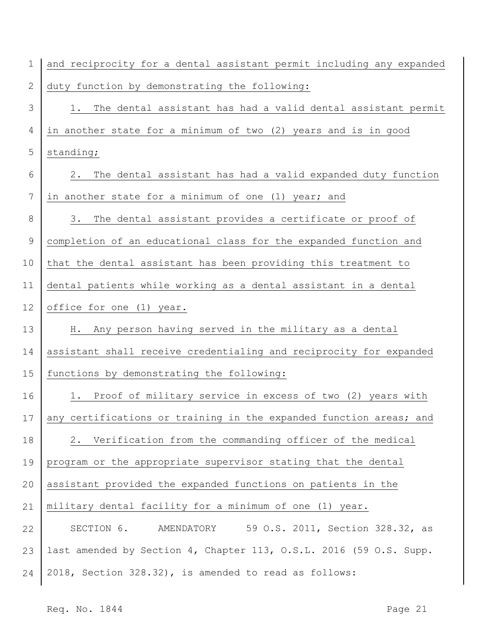| $\mathbf 1$ | and reciprocity for a dental assistant permit including any expanded |
|-------------|----------------------------------------------------------------------|
| 2           | duty function by demonstrating the following:                        |
| 3           | The dental assistant has had a valid dental assistant permit<br>1.   |
| 4           | in another state for a minimum of two (2) years and is in good       |
| 5           | standing;                                                            |
| 6           | The dental assistant has had a valid expanded duty function<br>2.    |
| 7           | in another state for a minimum of one (1) year; and                  |
| 8           | The dental assistant provides a certificate or proof of<br>3.        |
| $\mathsf 9$ | completion of an educational class for the expanded function and     |
| 10          | that the dental assistant has been providing this treatment to       |
| 11          | dental patients while working as a dental assistant in a dental      |
| 12          | office for one (1) year.                                             |
| 13          | Any person having served in the military as a dental<br>Н.           |
| 14          | assistant shall receive credentialing and reciprocity for expanded   |
| 15          | functions by demonstrating the following:                            |
| 16          | Proof of military service in excess of two (2) years with<br>1.      |
| 17          | any certifications or training in the expanded function areas; and   |
| 18          | Verification from the commanding officer of the medical<br>2.        |
| 19          | program or the appropriate supervisor stating that the dental        |
| 20          | assistant provided the expanded functions on patients in the         |
| 21          | military dental facility for a minimum of one (1) year.              |
| 22          | 59 O.S. 2011, Section 328.32, as<br>SECTION 6. AMENDATORY            |
| 23          | last amended by Section 4, Chapter 113, O.S.L. 2016 (59 O.S. Supp.   |
| 24          | 2018, Section 328.32), is amended to read as follows:                |
|             |                                                                      |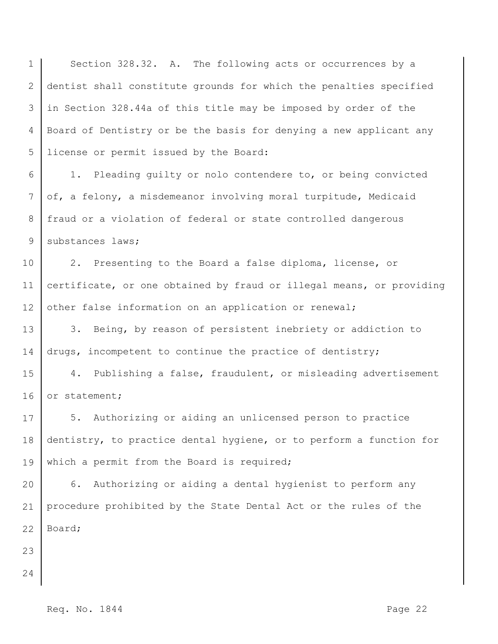1 2 3 4 5 Section 328.32. A. The following acts or occurrences by a dentist shall constitute grounds for which the penalties specified in Section 328.44a of this title may be imposed by order of the Board of Dentistry or be the basis for denying a new applicant any license or permit issued by the Board:

6 7 8 9 1. Pleading guilty or nolo contendere to, or being convicted of, a felony, a misdemeanor involving moral turpitude, Medicaid fraud or a violation of federal or state controlled dangerous substances laws;

10 11 12 2. Presenting to the Board a false diploma, license, or certificate, or one obtained by fraud or illegal means, or providing other false information on an application or renewal;

13 14 3. Being, by reason of persistent inebriety or addiction to drugs, incompetent to continue the practice of dentistry;

15 16 4. Publishing a false, fraudulent, or misleading advertisement or statement;

17 18 19 5. Authorizing or aiding an unlicensed person to practice dentistry, to practice dental hygiene, or to perform a function for which a permit from the Board is required;

20 21 22 6. Authorizing or aiding a dental hygienist to perform any procedure prohibited by the State Dental Act or the rules of the Board;

- 23
- 24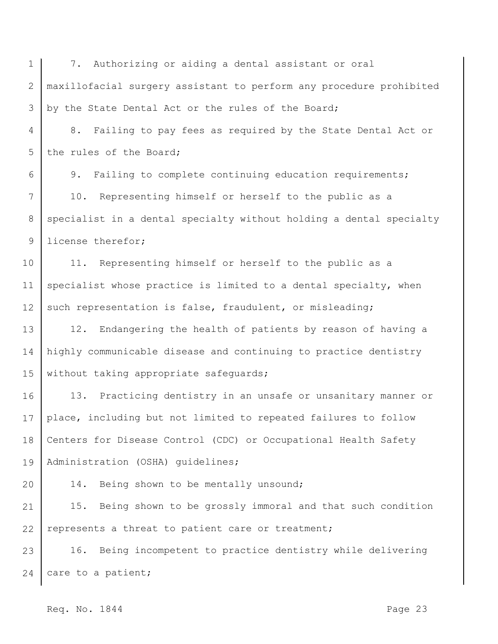1 2 3 7. Authorizing or aiding a dental assistant or oral maxillofacial surgery assistant to perform any procedure prohibited by the State Dental Act or the rules of the Board;

4 5 8. Failing to pay fees as required by the State Dental Act or the rules of the Board;

6 7 8 9 9. Failing to complete continuing education requirements; 10. Representing himself or herself to the public as a specialist in a dental specialty without holding a dental specialty license therefor;

10 11 12 11. Representing himself or herself to the public as a specialist whose practice is limited to a dental specialty, when such representation is false, fraudulent, or misleading;

13 14 15 12. Endangering the health of patients by reason of having a highly communicable disease and continuing to practice dentistry without taking appropriate safequards;

16 17 18 19 13. Practicing dentistry in an unsafe or unsanitary manner or place, including but not limited to repeated failures to follow Centers for Disease Control (CDC) or Occupational Health Safety Administration (OSHA) guidelines;

14. Being shown to be mentally unsound;

21 22 15. Being shown to be grossly immoral and that such condition represents a threat to patient care or treatment;

23 24 16. Being incompetent to practice dentistry while delivering care to a patient;

Req. No. 1844 **Page 23**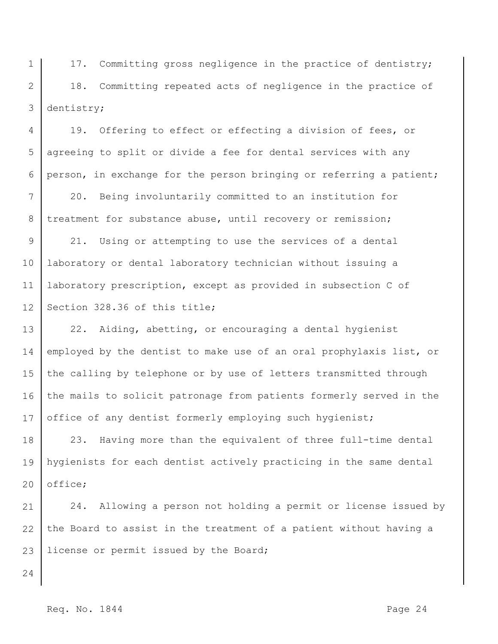1 2 3 17. Committing gross negligence in the practice of dentistry; 18. Committing repeated acts of negligence in the practice of dentistry;

4 5 6 19. Offering to effect or effecting a division of fees, or agreeing to split or divide a fee for dental services with any person, in exchange for the person bringing or referring a patient;

7 8 20. Being involuntarily committed to an institution for treatment for substance abuse, until recovery or remission;

9 10 11 12 21. Using or attempting to use the services of a dental laboratory or dental laboratory technician without issuing a laboratory prescription, except as provided in subsection C of Section 328.36 of this title;

13 14 15 16 17 22. Aiding, abetting, or encouraging a dental hygienist employed by the dentist to make use of an oral prophylaxis list, or the calling by telephone or by use of letters transmitted through the mails to solicit patronage from patients formerly served in the office of any dentist formerly employing such hygienist;

18 19 20 23. Having more than the equivalent of three full-time dental hygienists for each dentist actively practicing in the same dental office;

21 22 23 24. Allowing a person not holding a permit or license issued by the Board to assist in the treatment of a patient without having a license or permit issued by the Board;

24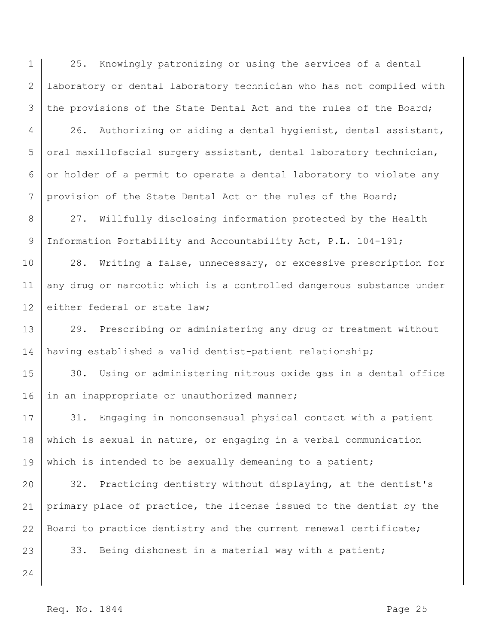1 2 3 25. Knowingly patronizing or using the services of a dental laboratory or dental laboratory technician who has not complied with the provisions of the State Dental Act and the rules of the Board;

4 5 6 7 26. Authorizing or aiding a dental hygienist, dental assistant, oral maxillofacial surgery assistant, dental laboratory technician, or holder of a permit to operate a dental laboratory to violate any provision of the State Dental Act or the rules of the Board;

8 9 27. Willfully disclosing information protected by the Health Information Portability and Accountability Act, P.L. 104-191;

10 11 12 28. Writing a false, unnecessary, or excessive prescription for any drug or narcotic which is a controlled dangerous substance under either federal or state law;

13 14 29. Prescribing or administering any drug or treatment without having established a valid dentist-patient relationship;

15 16 30. Using or administering nitrous oxide gas in a dental office in an inappropriate or unauthorized manner;

17 18 19 31. Engaging in nonconsensual physical contact with a patient which is sexual in nature, or engaging in a verbal communication which is intended to be sexually demeaning to a patient;

20 21 22 23 32. Practicing dentistry without displaying, at the dentist's primary place of practice, the license issued to the dentist by the Board to practice dentistry and the current renewal certificate;

33. Being dishonest in a material way with a patient;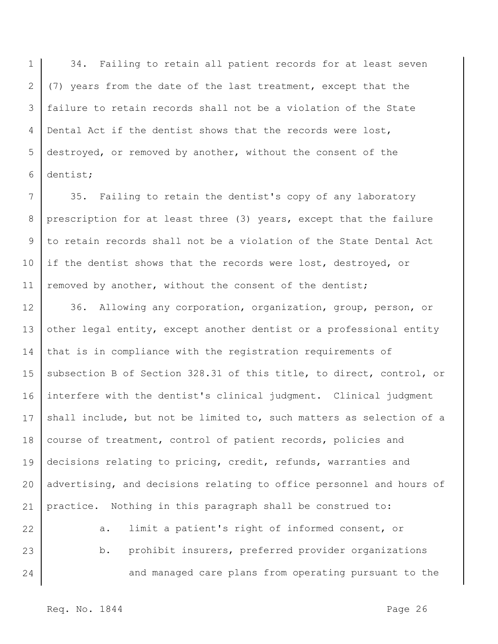1 2 3 4 5 6 34. Failing to retain all patient records for at least seven (7) years from the date of the last treatment, except that the failure to retain records shall not be a violation of the State Dental Act if the dentist shows that the records were lost, destroyed, or removed by another, without the consent of the dentist;

7 8 9 10 11 35. Failing to retain the dentist's copy of any laboratory prescription for at least three (3) years, except that the failure to retain records shall not be a violation of the State Dental Act if the dentist shows that the records were lost, destroyed, or removed by another, without the consent of the dentist;

12 13 14 15 16 17 18 19 20 21 22 36. Allowing any corporation, organization, group, person, or other legal entity, except another dentist or a professional entity that is in compliance with the registration requirements of subsection B of Section 328.31 of this title, to direct, control, or interfere with the dentist's clinical judgment. Clinical judgment shall include, but not be limited to, such matters as selection of a course of treatment, control of patient records, policies and decisions relating to pricing, credit, refunds, warranties and advertising, and decisions relating to office personnel and hours of practice. Nothing in this paragraph shall be construed to: a. limit a patient's right of informed consent, or

23 24 b. prohibit insurers, preferred provider organizations and managed care plans from operating pursuant to the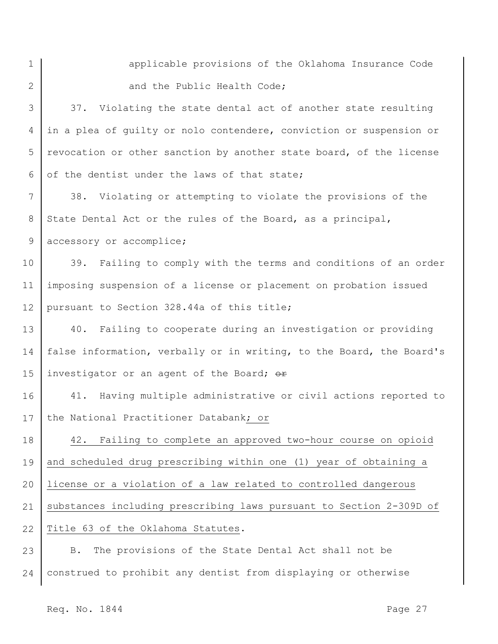1 2

applicable provisions of the Oklahoma Insurance Code and the Public Health Code;

3 4 5 6 37. Violating the state dental act of another state resulting in a plea of guilty or nolo contendere, conviction or suspension or revocation or other sanction by another state board, of the license of the dentist under the laws of that state;

7 8 9 38. Violating or attempting to violate the provisions of the State Dental Act or the rules of the Board, as a principal, accessory or accomplice;

10 11 12 39. Failing to comply with the terms and conditions of an order imposing suspension of a license or placement on probation issued pursuant to Section 328.44a of this title;

13 14 15 40. Failing to cooperate during an investigation or providing false information, verbally or in writing, to the Board, the Board's investigator or an agent of the Board; or

16 17 41. Having multiple administrative or civil actions reported to the National Practitioner Databank; or

18 19 20 21 22 42. Failing to complete an approved two-hour course on opioid and scheduled drug prescribing within one (1) year of obtaining a license or a violation of a law related to controlled dangerous substances including prescribing laws pursuant to Section 2-309D of Title 63 of the Oklahoma Statutes.

23 24 B. The provisions of the State Dental Act shall not be construed to prohibit any dentist from displaying or otherwise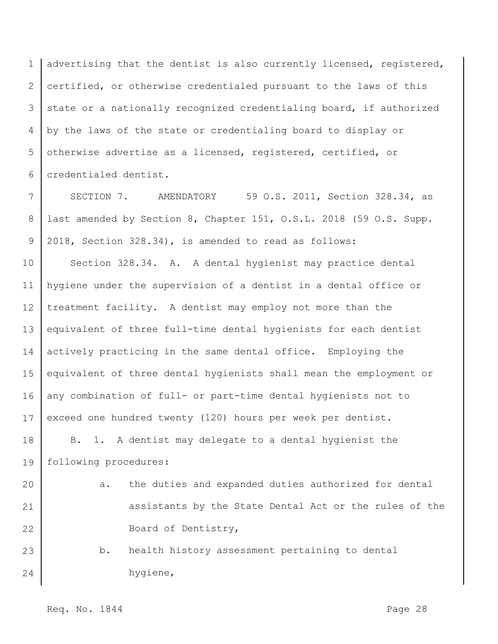1 2 3 4 5 6 advertising that the dentist is also currently licensed, registered, certified, or otherwise credentialed pursuant to the laws of this state or a nationally recognized credentialing board, if authorized by the laws of the state or credentialing board to display or otherwise advertise as a licensed, registered, certified, or credentialed dentist.

7 8 9 SECTION 7. AMENDATORY 59 O.S. 2011, Section 328.34, as last amended by Section 8, Chapter 151, O.S.L. 2018 (59 O.S. Supp. 2018, Section 328.34), is amended to read as follows:

10 11 12 13 14 15 16 17 18 Section 328.34. A. A dental hygienist may practice dental hygiene under the supervision of a dentist in a dental office or treatment facility. A dentist may employ not more than the equivalent of three full-time dental hygienists for each dentist actively practicing in the same dental office. Employing the equivalent of three dental hygienists shall mean the employment or any combination of full- or part-time dental hygienists not to exceed one hundred twenty (120) hours per week per dentist. B. 1. A dentist may delegate to a dental hygienist the

19 following procedures:

- 20 21 22 a. the duties and expanded duties authorized for dental assistants by the State Dental Act or the rules of the Board of Dentistry,
- 23 24 b. health history assessment pertaining to dental hygiene,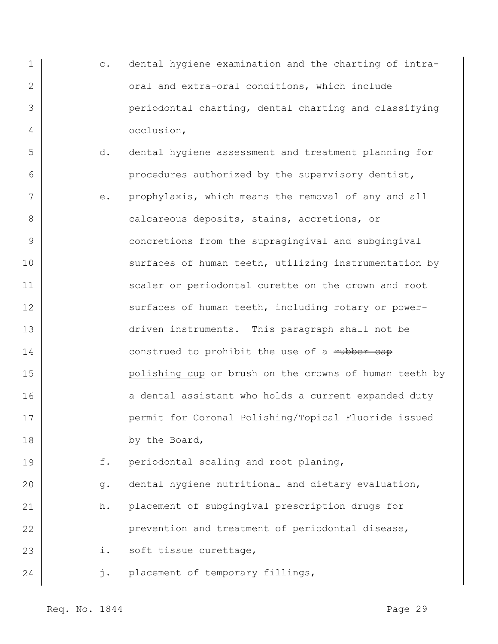- 1 2 3 4 c. dental hygiene examination and the charting of intraoral and extra-oral conditions, which include periodontal charting, dental charting and classifying occlusion,
	- d. dental hygiene assessment and treatment planning for procedures authorized by the supervisory dentist,
- 7 8 9 10 11 12 13 14 15 16 17 18 e. prophylaxis, which means the removal of any and all calcareous deposits, stains, accretions, or concretions from the supragingival and subgingival surfaces of human teeth, utilizing instrumentation by scaler or periodontal curette on the crown and root surfaces of human teeth, including rotary or powerdriven instruments. This paragraph shall not be construed to prohibit the use of a rubber cap polishing cup or brush on the crowns of human teeth by a dental assistant who holds a current expanded duty permit for Coronal Polishing/Topical Fluoride issued by the Board,

19 f. periodontal scaling and root planing,

20 21 22 23 g. dental hygiene nutritional and dietary evaluation, h. placement of subgingival prescription drugs for prevention and treatment of periodontal disease, i. soft tissue curettage,

j. placement of temporary fillings,

24

5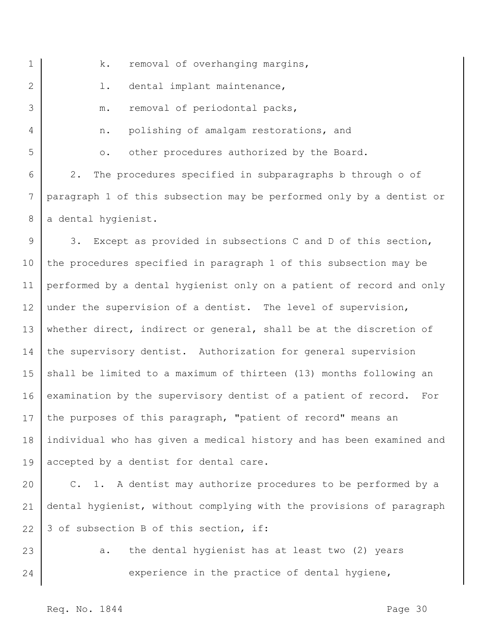| $\mathbf 1$     | removal of overhanging margins,<br>k.                                 |
|-----------------|-----------------------------------------------------------------------|
| 2               | dental implant maintenance,<br>$\mathbf 1$ .                          |
| 3               | removal of periodontal packs,<br>m.                                   |
| 4               | polishing of amalgam restorations, and<br>n.                          |
| 5               | other procedures authorized by the Board.<br>$\circ$ .                |
| 6               | The procedures specified in subparagraphs b through o of<br>2.        |
| $7\phantom{.0}$ | paragraph 1 of this subsection may be performed only by a dentist or  |
| 8               | a dental hygienist.                                                   |
| 9               | 3. Except as provided in subsections C and D of this section,         |
| 10              | the procedures specified in paragraph 1 of this subsection may be     |
| 11              | performed by a dental hygienist only on a patient of record and only  |
| 12              | under the supervision of a dentist. The level of supervision,         |
| 13              | whether direct, indirect or general, shall be at the discretion of    |
| 14              | the supervisory dentist. Authorization for general supervision        |
| 15              | shall be limited to a maximum of thirteen (13) months following an    |
| 16              | examination by the supervisory dentist of a patient of record.<br>For |
|                 | 17 the purposes of this paragraph, "patient of record" means an       |
| 18              | individual who has given a medical history and has been examined and  |
| 19              | accepted by a dentist for dental care.                                |
| 20              | C. 1. A dentist may authorize procedures to be performed by a         |
|                 |                                                                       |

21 dental hygienist, without complying with the provisions of paragraph 22 3 of subsection B of this section, if:

23 24 a. the dental hygienist has at least two (2) years experience in the practice of dental hygiene,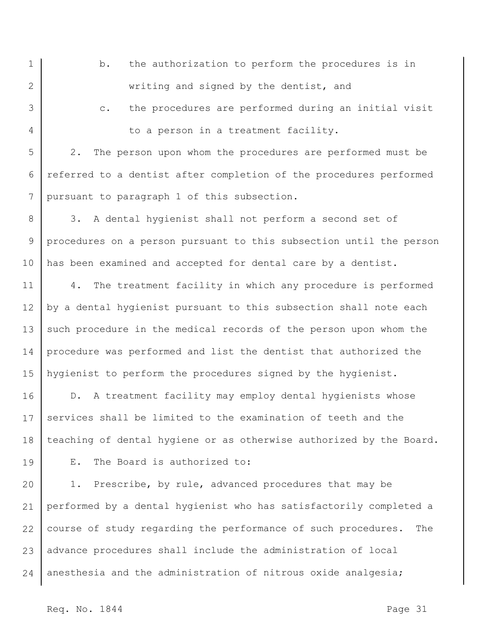1 2 b. the authorization to perform the procedures is in writing and signed by the dentist, and

3 4

19

c. the procedures are performed during an initial visit to a person in a treatment facility.

5 6 7 2. The person upon whom the procedures are performed must be referred to a dentist after completion of the procedures performed pursuant to paragraph 1 of this subsection.

8 9 10 3. A dental hygienist shall not perform a second set of procedures on a person pursuant to this subsection until the person has been examined and accepted for dental care by a dentist.

11 12 13 14 15 4. The treatment facility in which any procedure is performed by a dental hygienist pursuant to this subsection shall note each such procedure in the medical records of the person upon whom the procedure was performed and list the dentist that authorized the hygienist to perform the procedures signed by the hygienist.

16 17 18 D. A treatment facility may employ dental hygienists whose services shall be limited to the examination of teeth and the teaching of dental hygiene or as otherwise authorized by the Board.

E. The Board is authorized to:

20 21 22 23 24 1. Prescribe, by rule, advanced procedures that may be performed by a dental hygienist who has satisfactorily completed a course of study regarding the performance of such procedures. The advance procedures shall include the administration of local anesthesia and the administration of nitrous oxide analgesia;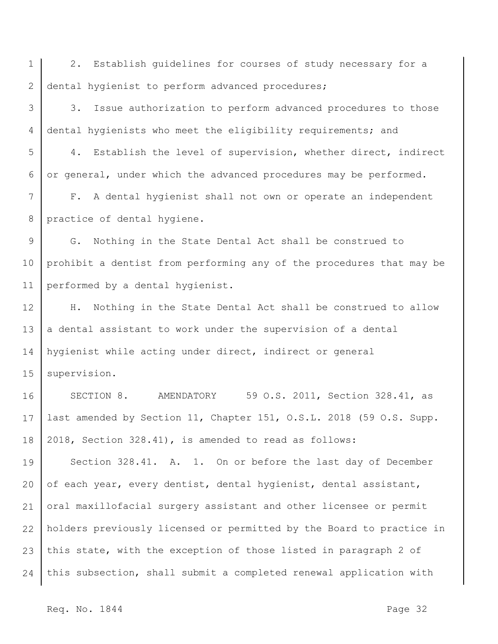1 2 2. Establish guidelines for courses of study necessary for a dental hygienist to perform advanced procedures;

3 4 3. Issue authorization to perform advanced procedures to those dental hygienists who meet the eligibility requirements; and

5 6 4. Establish the level of supervision, whether direct, indirect or general, under which the advanced procedures may be performed.

7 8 F. A dental hygienist shall not own or operate an independent practice of dental hygiene.

9 10 11 G. Nothing in the State Dental Act shall be construed to prohibit a dentist from performing any of the procedures that may be performed by a dental hygienist.

12 13 14 15 H. Nothing in the State Dental Act shall be construed to allow a dental assistant to work under the supervision of a dental hygienist while acting under direct, indirect or general supervision.

16 17 18 SECTION 8. AMENDATORY 59 O.S. 2011, Section 328.41, as last amended by Section 11, Chapter 151, O.S.L. 2018 (59 O.S. Supp. 2018, Section 328.41), is amended to read as follows:

19 20 21 22 23 24 Section 328.41. A. 1. On or before the last day of December of each year, every dentist, dental hygienist, dental assistant, oral maxillofacial surgery assistant and other licensee or permit holders previously licensed or permitted by the Board to practice in this state, with the exception of those listed in paragraph 2 of this subsection, shall submit a completed renewal application with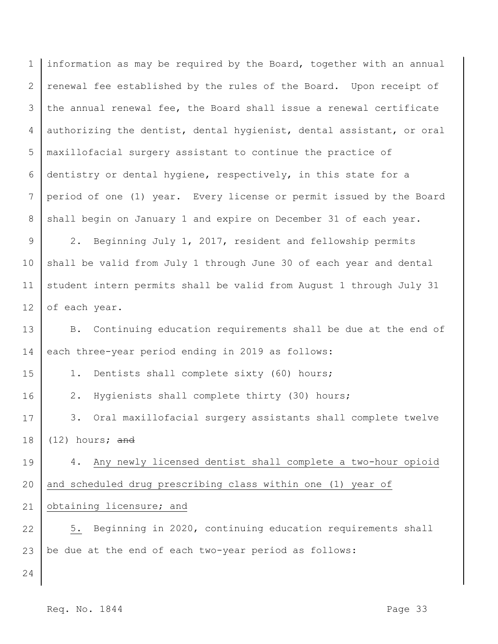1 2 3 4 5 6 7 8 information as may be required by the Board, together with an annual renewal fee established by the rules of the Board. Upon receipt of the annual renewal fee, the Board shall issue a renewal certificate authorizing the dentist, dental hygienist, dental assistant, or oral maxillofacial surgery assistant to continue the practice of dentistry or dental hygiene, respectively, in this state for a period of one (1) year. Every license or permit issued by the Board shall begin on January 1 and expire on December 31 of each year.

9 10 11 12 2. Beginning July 1, 2017, resident and fellowship permits shall be valid from July 1 through June 30 of each year and dental student intern permits shall be valid from August 1 through July 31 of each year.

13 14 B. Continuing education requirements shall be due at the end of each three-year period ending in 2019 as follows:

1. Dentists shall complete sixty (60) hours;

2. Hygienists shall complete thirty (30) hours;

17 18 3. Oral maxillofacial surgery assistants shall complete twelve (12) hours; and

19 20 21 4. Any newly licensed dentist shall complete a two-hour opioid and scheduled drug prescribing class within one (1) year of obtaining licensure; and

22 23 5. Beginning in 2020, continuing education requirements shall be due at the end of each two-year period as follows:

24

15

16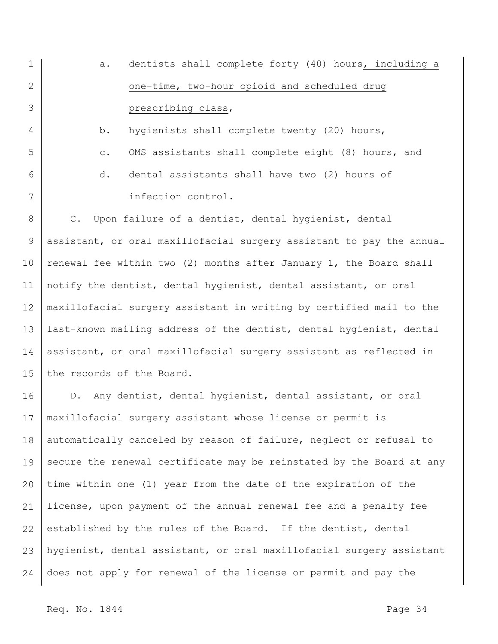1 2 3 4 5 6 7 8 9 10 11 12 13 14 15 16 17 18 19 20 21 22 23 24 a. dentists shall complete forty (40) hours, including a one-time, two-hour opioid and scheduled drug prescribing class, b. hygienists shall complete twenty (20) hours, c. OMS assistants shall complete eight (8) hours, and d. dental assistants shall have two (2) hours of infection control. C. Upon failure of a dentist, dental hygienist, dental assistant, or oral maxillofacial surgery assistant to pay the annual renewal fee within two (2) months after January 1, the Board shall notify the dentist, dental hygienist, dental assistant, or oral maxillofacial surgery assistant in writing by certified mail to the last-known mailing address of the dentist, dental hygienist, dental assistant, or oral maxillofacial surgery assistant as reflected in the records of the Board. D. Any dentist, dental hygienist, dental assistant, or oral maxillofacial surgery assistant whose license or permit is automatically canceled by reason of failure, neglect or refusal to secure the renewal certificate may be reinstated by the Board at any time within one (1) year from the date of the expiration of the license, upon payment of the annual renewal fee and a penalty fee established by the rules of the Board. If the dentist, dental hygienist, dental assistant, or oral maxillofacial surgery assistant does not apply for renewal of the license or permit and pay the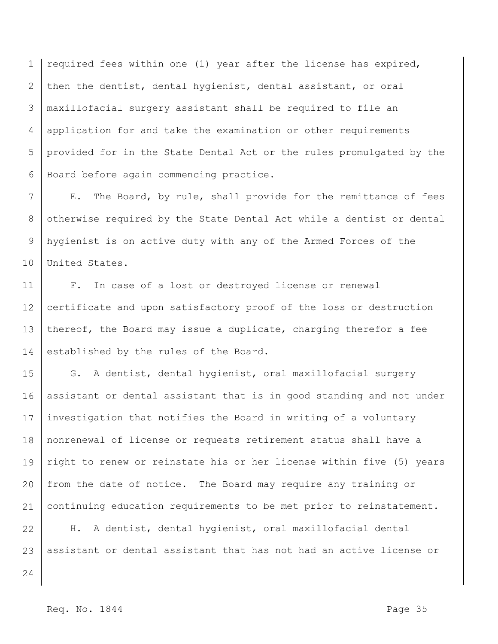1 2 3 4 5 6 required fees within one (1) year after the license has expired, then the dentist, dental hygienist, dental assistant, or oral maxillofacial surgery assistant shall be required to file an application for and take the examination or other requirements provided for in the State Dental Act or the rules promulgated by the Board before again commencing practice.

7 8 9 10 E. The Board, by rule, shall provide for the remittance of fees otherwise required by the State Dental Act while a dentist or dental hygienist is on active duty with any of the Armed Forces of the United States.

11 12 13 14 F. In case of a lost or destroyed license or renewal certificate and upon satisfactory proof of the loss or destruction thereof, the Board may issue a duplicate, charging therefor a fee established by the rules of the Board.

15 16 17 18 19 20 21 G. A dentist, dental hygienist, oral maxillofacial surgery assistant or dental assistant that is in good standing and not under investigation that notifies the Board in writing of a voluntary nonrenewal of license or requests retirement status shall have a right to renew or reinstate his or her license within five (5) years from the date of notice. The Board may require any training or continuing education requirements to be met prior to reinstatement.

22 23 H. A dentist, dental hygienist, oral maxillofacial dental assistant or dental assistant that has not had an active license or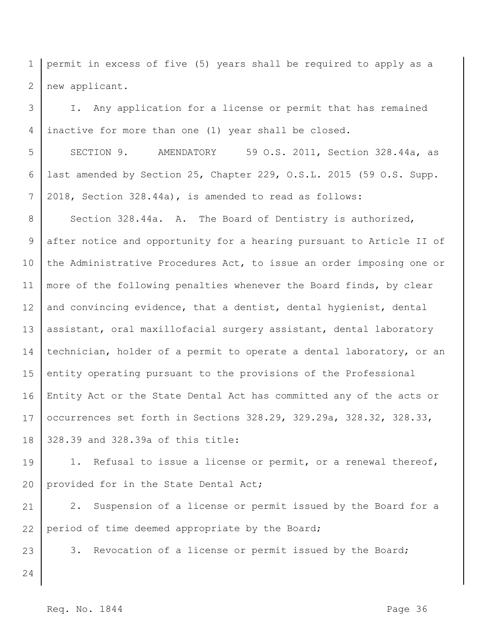1 2 permit in excess of five (5) years shall be required to apply as a new applicant.

3 4 I. Any application for a license or permit that has remained inactive for more than one (1) year shall be closed.

5 6 7 SECTION 9. AMENDATORY 59 O.S. 2011, Section 328.44a, as last amended by Section 25, Chapter 229, O.S.L. 2015 (59 O.S. Supp. 2018, Section 328.44a), is amended to read as follows:

8 9 10 11 12 13 14 15 16 17 18 Section 328.44a. A. The Board of Dentistry is authorized, after notice and opportunity for a hearing pursuant to Article II of the Administrative Procedures Act, to issue an order imposing one or more of the following penalties whenever the Board finds, by clear and convincing evidence, that a dentist, dental hygienist, dental assistant, oral maxillofacial surgery assistant, dental laboratory technician, holder of a permit to operate a dental laboratory, or an entity operating pursuant to the provisions of the Professional Entity Act or the State Dental Act has committed any of the acts or occurrences set forth in Sections 328.29, 329.29a, 328.32, 328.33, 328.39 and 328.39a of this title:

19 20 1. Refusal to issue a license or permit, or a renewal thereof, provided for in the State Dental Act;

21 22 2. Suspension of a license or permit issued by the Board for a period of time deemed appropriate by the Board;

3. Revocation of a license or permit issued by the Board;

23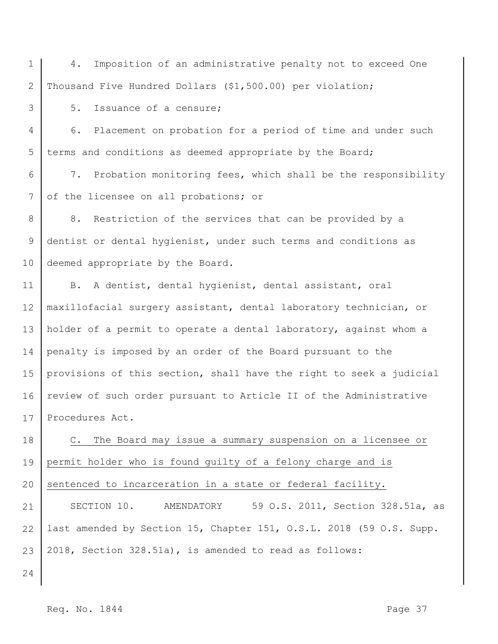1 2 4. Imposition of an administrative penalty not to exceed One Thousand Five Hundred Dollars (\$1,500.00) per violation;

5. Issuance of a censure;

4 5 6. Placement on probation for a period of time and under such terms and conditions as deemed appropriate by the Board;

6 7 7. Probation monitoring fees, which shall be the responsibility of the licensee on all probations; or

8 9 10 8. Restriction of the services that can be provided by a dentist or dental hygienist, under such terms and conditions as deemed appropriate by the Board.

11 12 13 14 15 16 17 B. A dentist, dental hygienist, dental assistant, oral maxillofacial surgery assistant, dental laboratory technician, or holder of a permit to operate a dental laboratory, against whom a penalty is imposed by an order of the Board pursuant to the provisions of this section, shall have the right to seek a judicial review of such order pursuant to Article II of the Administrative Procedures Act.

18 19 20 C. The Board may issue a summary suspension on a licensee or permit holder who is found guilty of a felony charge and is sentenced to incarceration in a state or federal facility.

21 22 23 SECTION 10. AMENDATORY 59 O.S. 2011, Section 328.51a, as last amended by Section 15, Chapter 151, O.S.L. 2018 (59 O.S. Supp. 2018, Section 328.51a), is amended to read as follows:

24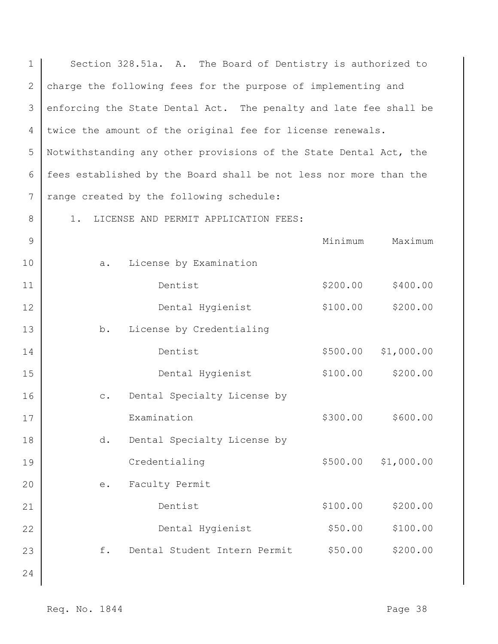| $\mathbf 1$   | Section 328.51a. A. The Board of Dentistry is authorized to       |  |          |            |  |  |  |
|---------------|-------------------------------------------------------------------|--|----------|------------|--|--|--|
| $\mathbf{2}$  | charge the following fees for the purpose of implementing and     |  |          |            |  |  |  |
| 3             | enforcing the State Dental Act. The penalty and late fee shall be |  |          |            |  |  |  |
| 4             | twice the amount of the original fee for license renewals.        |  |          |            |  |  |  |
| 5             | Notwithstanding any other provisions of the State Dental Act, the |  |          |            |  |  |  |
| 6             | fees established by the Board shall be not less nor more than the |  |          |            |  |  |  |
| 7             | range created by the following schedule:                          |  |          |            |  |  |  |
| 8             | LICENSE AND PERMIT APPLICATION FEES:<br>1.                        |  |          |            |  |  |  |
| $\mathcal{G}$ |                                                                   |  | Minimum  | Maximum    |  |  |  |
| 10            | License by Examination<br>a.                                      |  |          |            |  |  |  |
| 11            | Dentist                                                           |  | \$200.00 | \$400.00   |  |  |  |
| 12            | Dental Hygienist                                                  |  | \$100.00 | \$200.00   |  |  |  |
| 13            | b.<br>License by Credentialing                                    |  |          |            |  |  |  |
| 14            | Dentist                                                           |  | \$500.00 | \$1,000.00 |  |  |  |
| 15            | Dental Hygienist                                                  |  | \$100.00 | \$200.00   |  |  |  |
| 16            | Dental Specialty License by<br>$\mathbb{C}$ .                     |  |          |            |  |  |  |
| 17            | Examination                                                       |  | \$300.00 | \$600.00   |  |  |  |
| 18            | Dental Specialty License by<br>d.                                 |  |          |            |  |  |  |
| 19            | Credentialing                                                     |  | \$500.00 | \$1,000.00 |  |  |  |
| 20            | Faculty Permit<br>е.                                              |  |          |            |  |  |  |
| 21            | Dentist                                                           |  | \$100.00 | \$200.00   |  |  |  |
| 22            | Dental Hygienist                                                  |  | \$50.00  | \$100.00   |  |  |  |
| 23            | Dental Student Intern Permit<br>f.                                |  | \$50.00  | \$200.00   |  |  |  |
| 24            |                                                                   |  |          |            |  |  |  |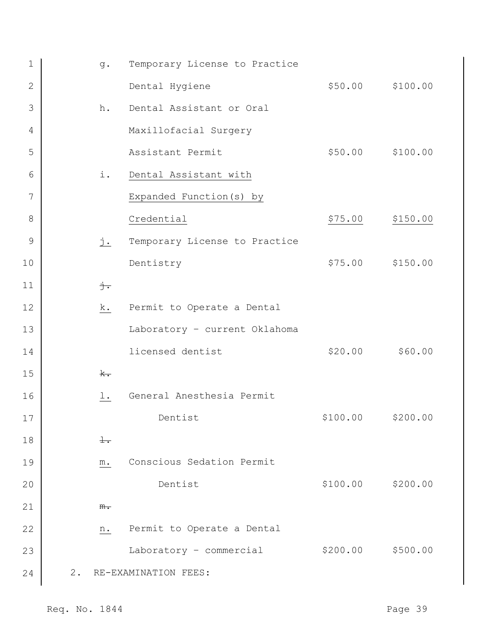| $\mathbf 1$     |       | q.              | Temporary License to Practice |          |                   |
|-----------------|-------|-----------------|-------------------------------|----------|-------------------|
| $\mathbf{2}$    |       |                 | Dental Hygiene                |          | \$50.00 \$100.00  |
| 3               |       | h.              | Dental Assistant or Oral      |          |                   |
| 4               |       |                 | Maxillofacial Surgery         |          |                   |
| 5               |       |                 | Assistant Permit              |          | \$50.00 \$100.00  |
| 6               |       | i.              | Dental Assistant with         |          |                   |
| $7\phantom{.0}$ |       |                 | Expanded Function (s) by      |          |                   |
| 8               |       |                 | Credential                    | \$75.00  | \$150.00          |
| $\mathcal{G}$   |       | <u>j.</u>       | Temporary License to Practice |          |                   |
| 10              |       |                 | Dentistry                     |          | \$75.00 \$150.00  |
| 11              |       | $\frac{1}{2}$ . |                               |          |                   |
| 12              |       | k.              | Permit to Operate a Dental    |          |                   |
| 13              |       |                 | Laboratory - current Oklahoma |          |                   |
| 14              |       |                 | licensed dentist              | \$20.00  | \$60.00           |
| 15              |       | $\mathbf{k}$ .  |                               |          |                   |
| 16              |       | l.              | General Anesthesia Permit     |          |                   |
| 17              |       |                 | Dentist                       | \$100.00 | \$200.00          |
| 18              |       | $\pm$ .         |                               |          |                   |
| 19              |       | $m$ .           | Conscious Sedation Permit     |          |                   |
| 20              |       |                 | Dentist                       |          | \$100.00 \$200.00 |
| 21              |       | $m_{\bullet}$   |                               |          |                   |
| 22              |       | n.              | Permit to Operate a Dental    |          |                   |
| 23              |       |                 | Laboratory - commercial       | \$200.00 | \$500.00          |
| 24              | $2$ . |                 | RE-EXAMINATION FEES:          |          |                   |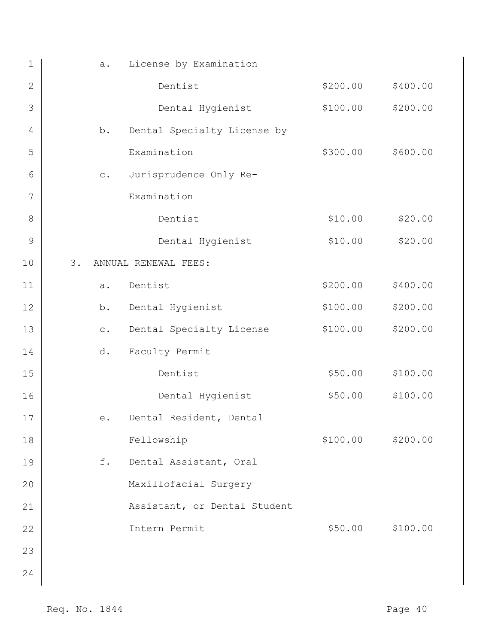| $1\,$          | a.             | License by Examination       |          |          |
|----------------|----------------|------------------------------|----------|----------|
| $\sqrt{2}$     |                | Dentist                      | \$200.00 | \$400.00 |
| 3              |                | Dental Hygienist             | \$100.00 | \$200.00 |
| $\overline{4}$ | b.             | Dental Specialty License by  |          |          |
| 5              |                | Examination                  | \$300.00 | \$600.00 |
| 6              | $\circ$ .      | Jurisprudence Only Re-       |          |          |
| 7              |                | Examination                  |          |          |
| 8              |                | Dentist                      | \$10.00  | \$20.00  |
| $\mathsf 9$    |                | Dental Hygienist             | \$10.00  | \$20.00  |
| 10             | 3.             | ANNUAL RENEWAL FEES:         |          |          |
| 11             | a.             | Dentist                      | \$200.00 | \$400.00 |
| 12             | b.             | Dental Hygienist             | \$100.00 | \$200.00 |
| 13             | $\mathtt{C}$ . | Dental Specialty License     | \$100.00 | \$200.00 |
| 14             | d.             | Faculty Permit               |          |          |
| 15             |                | Dentist                      | \$50.00  | \$100.00 |
| 16             |                | Dental Hygienist             | \$50.00  | \$100.00 |
| 17             | $\mathtt{e}$ . | Dental Resident, Dental      |          |          |
| 18             |                | Fellowship                   | \$100.00 | \$200.00 |
| 19             | f.             | Dental Assistant, Oral       |          |          |
| 20             |                | Maxillofacial Surgery        |          |          |
| 21             |                | Assistant, or Dental Student |          |          |
| 22             |                | Intern Permit                | \$50.00  | \$100.00 |
| 23             |                |                              |          |          |
| 24             |                |                              |          |          |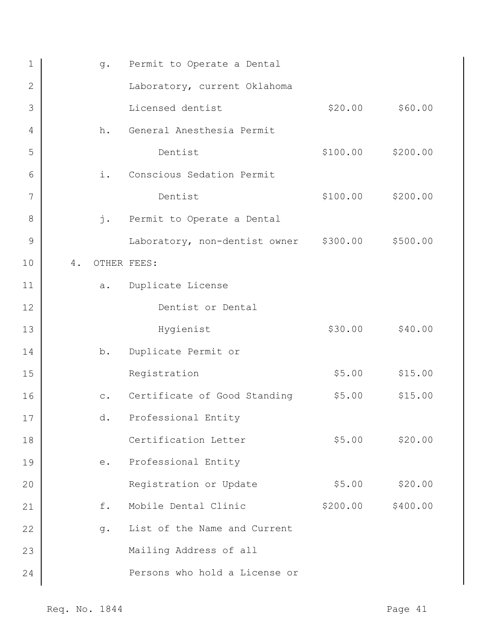| $\mathbf 1$    | $g$ .     | Permit to Operate a Dental             |          |          |
|----------------|-----------|----------------------------------------|----------|----------|
| $\overline{2}$ |           | Laboratory, current Oklahoma           |          |          |
| 3              |           | Licensed dentist                       | \$20.00  | \$60.00  |
| 4              | h.        | General Anesthesia Permit              |          |          |
| 5              |           | Dentist                                | \$100.00 | \$200.00 |
| 6              | i.        | Conscious Sedation Permit              |          |          |
| 7              |           | Dentist                                | \$100.00 | \$200.00 |
| 8              |           | j. Permit to Operate a Dental          |          |          |
| 9              |           | Laboratory, non-dentist owner \$300.00 |          | \$500.00 |
| 10             | 4.        | OTHER FEES:                            |          |          |
| 11             | a.        | Duplicate License                      |          |          |
| 12             |           | Dentist or Dental                      |          |          |
| 13             |           | Hygienist                              | \$30.00  | \$40.00  |
| 14             | b.        | Duplicate Permit or                    |          |          |
| 15             |           | Registration                           | \$5.00   | \$15.00  |
| 16             | $\circ$ . | Certificate of Good Standing           | \$5.00   | \$15.00  |
| 17             | d.        | Professional Entity                    |          |          |
| 18             |           | Certification Letter                   | \$5.00   | \$20.00  |
| 19             | e.        | Professional Entity                    |          |          |
| 20             |           | Registration or Update                 | \$5.00   | \$20.00  |
| 21             | f.        | Mobile Dental Clinic                   | \$200.00 | \$400.00 |
| 22             | q.        | List of the Name and Current           |          |          |
| 23             |           | Mailing Address of all                 |          |          |
| 24             |           | Persons who hold a License or          |          |          |
|                |           |                                        |          |          |